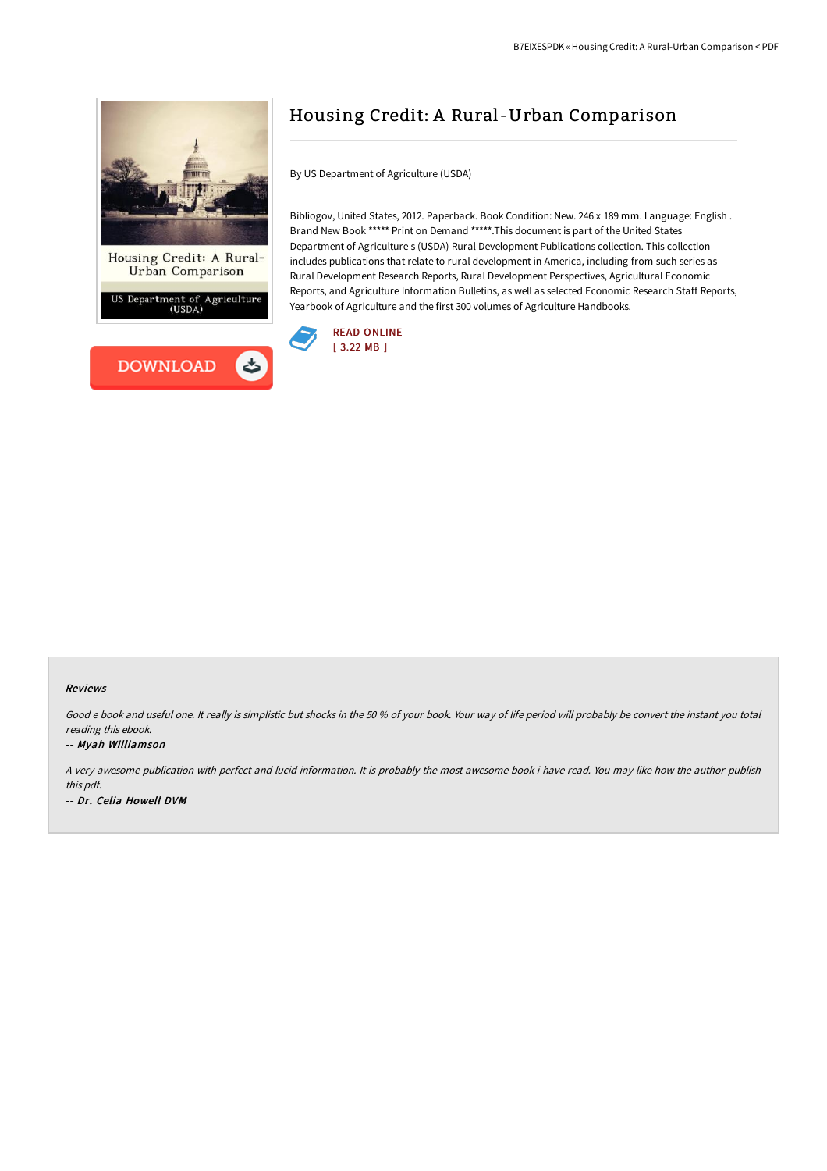

Department of Agriculture<br>(USDA)



# Housing Credit: A Rural -Urban Comparison

By US Department of Agriculture (USDA)

Bibliogov, United States, 2012. Paperback. Book Condition: New. 246 x 189 mm. Language: English . Brand New Book \*\*\*\*\* Print on Demand \*\*\*\*\*.This document is part of the United States Department of Agriculture s (USDA) Rural Development Publications collection. This collection includes publications that relate to rural development in America, including from such series as Rural Development Research Reports, Rural Development Perspectives, Agricultural Economic Reports, and Agriculture Information Bulletins, as well as selected Economic Research Staff Reports, Yearbook of Agriculture and the first 300 volumes of Agriculture Handbooks.



### Reviews

Good <sup>e</sup> book and useful one. It really is simplistic but shocks in the 50 % of your book. Your way of life period will probably be convert the instant you total reading this ebook.

### -- Myah Williamson

A very awesome publication with perfect and lucid information. It is probably the most awesome book i have read. You may like how the author publish this pdf. -- Dr. Celia Howell DVM